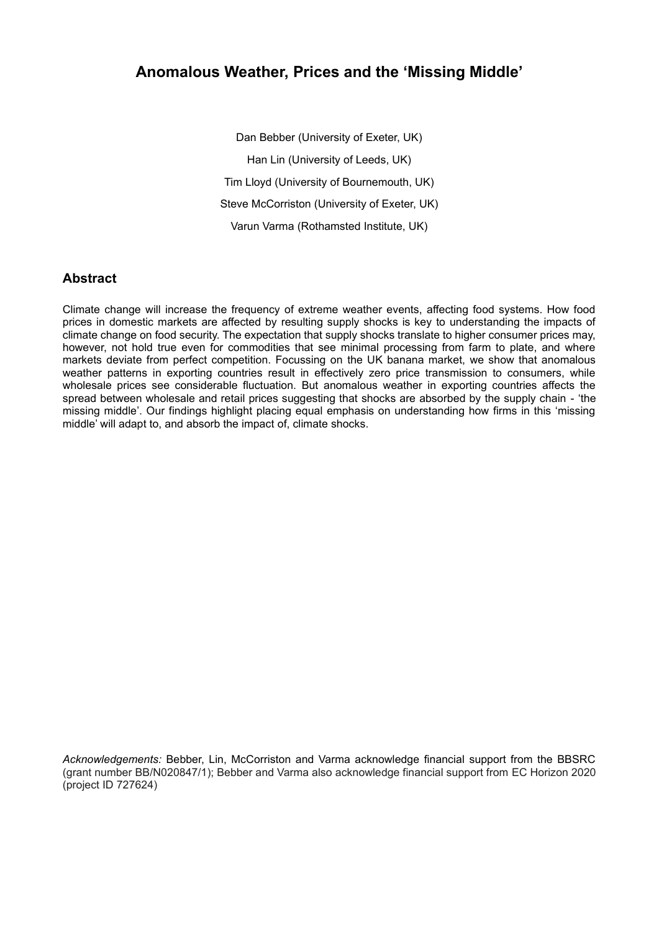# **Anomalous Weather, Prices and the 'Missing Middle'**

Dan Bebber (University of Exeter, UK) Han Lin (University of Leeds, UK) Tim Lloyd (University of Bournemouth, UK) Steve McCorriston (University of Exeter, UK) Varun Varma (Rothamsted Institute, UK)

### **Abstract**

Climate change will increase the frequency of extreme weather events, affecting food systems. How food prices in domestic markets are affected by resulting supply shocks is key to understanding the impacts of climate change on food security. The expectation that supply shocks translate to higher consumer prices may, however, not hold true even for commodities that see minimal processing from farm to plate, and where markets deviate from perfect competition. Focussing on the UK banana market, we show that anomalous weather patterns in exporting countries result in effectively zero price transmission to consumers, while wholesale prices see considerable fluctuation. But anomalous weather in exporting countries affects the spread between wholesale and retail prices suggesting that shocks are absorbed by the supply chain - 'the missing middle'. Our findings highlight placing equal emphasis on understanding how firms in this 'missing middle' will adapt to, and absorb the impact of, climate shocks.

*Acknowledgements:* Bebber, Lin, McCorriston and Varma acknowledge financial support from the BBSRC (grant number BB/N020847/1); Bebber and Varma also acknowledge financial support from EC Horizon 2020 (project ID 727624)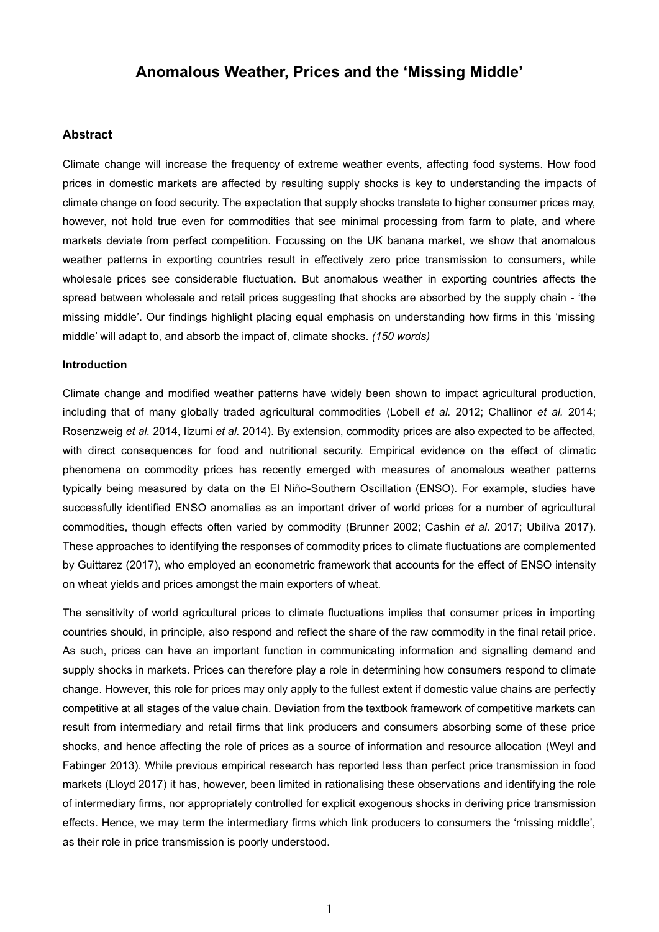### **Anomalous Weather, Prices and the 'Missing Middle'**

### **Abstract**

Climate change will increase the frequency of extreme weather events, affecting food systems. How food prices in domestic markets are affected by resulting supply shocks is key to understanding the impacts of climate change on food security. The expectation that supply shocks translate to higher consumer prices may, however, not hold true even for commodities that see minimal processing from farm to plate, and where markets deviate from perfect competition. Focussing on the UK banana market, we show that anomalous weather patterns in exporting countries result in effectively zero price transmission to consumers, while wholesale prices see considerable fluctuation. But anomalous weather in exporting countries affects the spread between wholesale and retail prices suggesting that shocks are absorbed by the supply chain - 'the missing middle'. Our findings highlight placing equal emphasis on understanding how firms in this 'missing middle' will adapt to, and absorb the impact of, climate shocks. *(150 words)*

#### **Introduction**

Climate change and modified weather patterns have widely been shown to impact agricultural production, including that of many globally traded agricultural commodities (Lobell *et al.* 2012; Challinor *et al.* 2014; Rosenzweig *et al.* 2014, Iizumi *et al.* 2014). By extension, commodity prices are also expected to be affected, with direct consequences for food and nutritional security. Empirical evidence on the effect of climatic phenomena on commodity prices has recently emerged with measures of anomalous weather patterns typically being measured by data on the El Niño-Southern Oscillation (ENSO). For example, studies have successfully identified ENSO anomalies as an important driver of world prices for a number of agricultural commodities, though effects often varied by commodity (Brunner 2002; Cashin *et al*. 2017; Ubiliva 2017). These approaches to identifying the responses of commodity prices to climate fluctuations are complemented by Guittarez (2017), who employed an econometric framework that accounts for the effect of ENSO intensity on wheat yields and prices amongst the main exporters of wheat.

The sensitivity of world agricultural prices to climate fluctuations implies that consumer prices in importing countries should, in principle, also respond and reflect the share of the raw commodity in the final retail price. As such, prices can have an important function in communicating information and signalling demand and supply shocks in markets. Prices can therefore play a role in determining how consumers respond to climate change. However, this role for prices may only apply to the fullest extent if domestic value chains are perfectly competitive at all stages of the value chain. Deviation from the textbook framework of competitive markets can result from intermediary and retail firms that link producers and consumers absorbing some of these price shocks, and hence affecting the role of prices as a source of information and resource allocation (Weyl and Fabinger 2013). While previous empirical research has reported less than perfect price transmission in food markets (Lloyd 2017) it has, however, been limited in rationalising these observations and identifying the role of intermediary firms, nor appropriately controlled for explicit exogenous shocks in deriving price transmission effects. Hence, we may term the intermediary firms which link producers to consumers the 'missing middle', as their role in price transmission is poorly understood.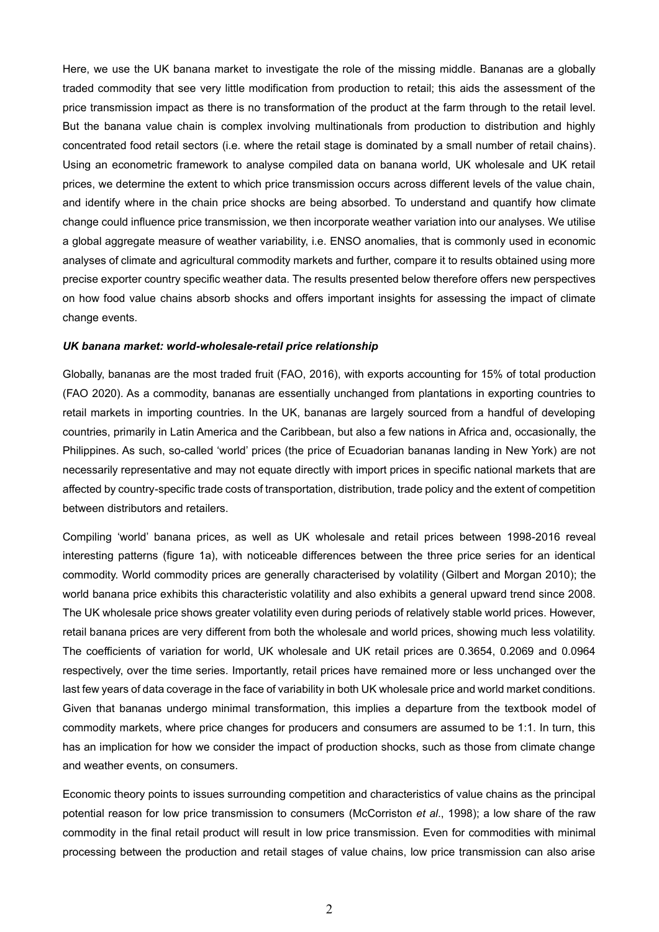Here, we use the UK banana market to investigate the role of the missing middle. Bananas are a globally traded commodity that see very little modification from production to retail; this aids the assessment of the price transmission impact as there is no transformation of the product at the farm through to the retail level. But the banana value chain is complex involving multinationals from production to distribution and highly concentrated food retail sectors (i.e. where the retail stage is dominated by a small number of retail chains). Using an econometric framework to analyse compiled data on banana world, UK wholesale and UK retail prices, we determine the extent to which price transmission occurs across different levels of the value chain, and identify where in the chain price shocks are being absorbed. To understand and quantify how climate change could influence price transmission, we then incorporate weather variation into our analyses. We utilise a global aggregate measure of weather variability, i.e. ENSO anomalies, that is commonly used in economic analyses of climate and agricultural commodity markets and further, compare it to results obtained using more precise exporter country specific weather data. The results presented below therefore offers new perspectives on how food value chains absorb shocks and offers important insights for assessing the impact of climate change events.

#### *UK banana market: world-wholesale-retail price relationship*

Globally, bananas are the most traded fruit (FAO, 2016), with exports accounting for 15% of total production (FAO 2020). As a commodity, bananas are essentially unchanged from plantations in exporting countries to retail markets in importing countries. In the UK, bananas are largely sourced from a handful of developing countries, primarily in Latin America and the Caribbean, but also a few nations in Africa and, occasionally, the Philippines. As such, so-called 'world' prices (the price of Ecuadorian bananas landing in New York) are not necessarily representative and may not equate directly with import prices in specific national markets that are affected by country-specific trade costs of transportation, distribution, trade policy and the extent of competition between distributors and retailers.

Compiling 'world' banana prices, as well as UK wholesale and retail prices between 1998-2016 reveal interesting patterns (figure 1a), with noticeable differences between the three price series for an identical commodity. World commodity prices are generally characterised by volatility (Gilbert and Morgan 2010); the world banana price exhibits this characteristic volatility and also exhibits a general upward trend since 2008. The UK wholesale price shows greater volatility even during periods of relatively stable world prices. However, retail banana prices are very different from both the wholesale and world prices, showing much less volatility. The coefficients of variation for world, UK wholesale and UK retail prices are 0.3654, 0.2069 and 0.0964 respectively, over the time series. Importantly, retail prices have remained more or less unchanged over the last few years of data coverage in the face of variability in both UK wholesale price and world market conditions. Given that bananas undergo minimal transformation, this implies a departure from the textbook model of commodity markets, where price changes for producers and consumers are assumed to be 1:1. In turn, this has an implication for how we consider the impact of production shocks, such as those from climate change and weather events, on consumers.

Economic theory points to issues surrounding competition and characteristics of value chains as the principal potential reason for low price transmission to consumers (McCorriston *et al*., 1998); a low share of the raw commodity in the final retail product will result in low price transmission. Even for commodities with minimal processing between the production and retail stages of value chains, low price transmission can also arise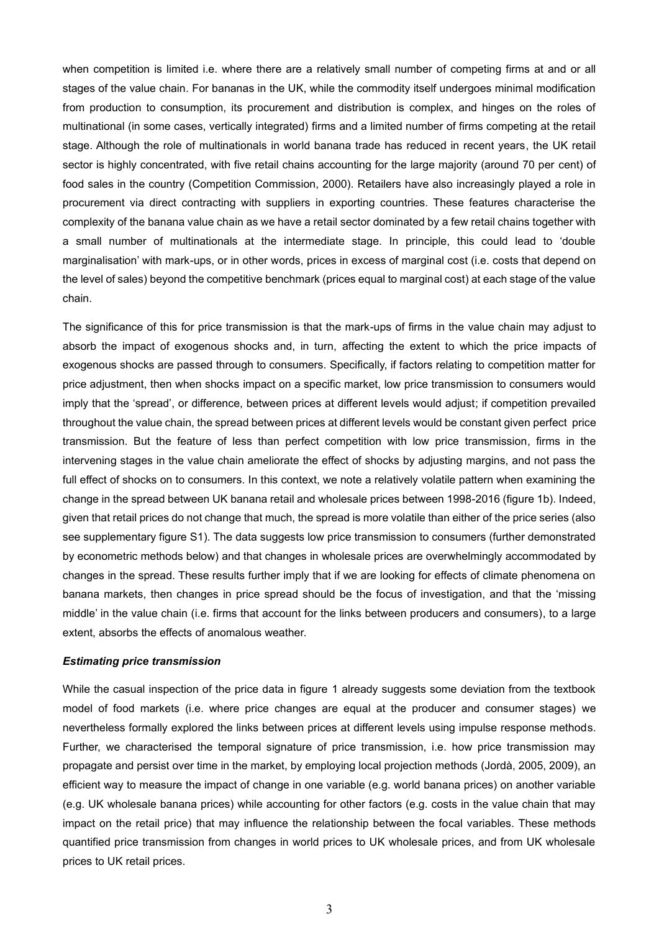when competition is limited i.e. where there are a relatively small number of competing firms at and or all stages of the value chain. For bananas in the UK, while the commodity itself undergoes minimal modification from production to consumption, its procurement and distribution is complex, and hinges on the roles of multinational (in some cases, vertically integrated) firms and a limited number of firms competing at the retail stage. Although the role of multinationals in world banana trade has reduced in recent years, the UK retail sector is highly concentrated, with five retail chains accounting for the large majority (around 70 per cent) of food sales in the country (Competition Commission, 2000). Retailers have also increasingly played a role in procurement via direct contracting with suppliers in exporting countries. These features characterise the complexity of the banana value chain as we have a retail sector dominated by a few retail chains together with a small number of multinationals at the intermediate stage. In principle, this could lead to 'double marginalisation' with mark-ups, or in other words, prices in excess of marginal cost (i.e. costs that depend on the level of sales) beyond the competitive benchmark (prices equal to marginal cost) at each stage of the value chain.

The significance of this for price transmission is that the mark-ups of firms in the value chain may adjust to absorb the impact of exogenous shocks and, in turn, affecting the extent to which the price impacts of exogenous shocks are passed through to consumers. Specifically, if factors relating to competition matter for price adjustment, then when shocks impact on a specific market, low price transmission to consumers would imply that the 'spread', or difference, between prices at different levels would adjust; if competition prevailed throughout the value chain, the spread between prices at different levels would be constant given perfect price transmission. But the feature of less than perfect competition with low price transmission, firms in the intervening stages in the value chain ameliorate the effect of shocks by adjusting margins, and not pass the full effect of shocks on to consumers. In this context, we note a relatively volatile pattern when examining the change in the spread between UK banana retail and wholesale prices between 1998-2016 (figure 1b). Indeed, given that retail prices do not change that much, the spread is more volatile than either of the price series (also see supplementary figure S1). The data suggests low price transmission to consumers (further demonstrated by econometric methods below) and that changes in wholesale prices are overwhelmingly accommodated by changes in the spread. These results further imply that if we are looking for effects of climate phenomena on banana markets, then changes in price spread should be the focus of investigation, and that the 'missing middle' in the value chain (i.e. firms that account for the links between producers and consumers), to a large extent, absorbs the effects of anomalous weather.

#### *Estimating price transmission*

While the casual inspection of the price data in figure 1 already suggests some deviation from the textbook model of food markets (i.e. where price changes are equal at the producer and consumer stages) we nevertheless formally explored the links between prices at different levels using impulse response methods. Further, we characterised the temporal signature of price transmission, i.e. how price transmission may propagate and persist over time in the market, by employing local projection methods (Jordà, 2005, 2009), an efficient way to measure the impact of change in one variable (e.g. world banana prices) on another variable (e.g. UK wholesale banana prices) while accounting for other factors (e.g. costs in the value chain that may impact on the retail price) that may influence the relationship between the focal variables. These methods quantified price transmission from changes in world prices to UK wholesale prices, and from UK wholesale prices to UK retail prices.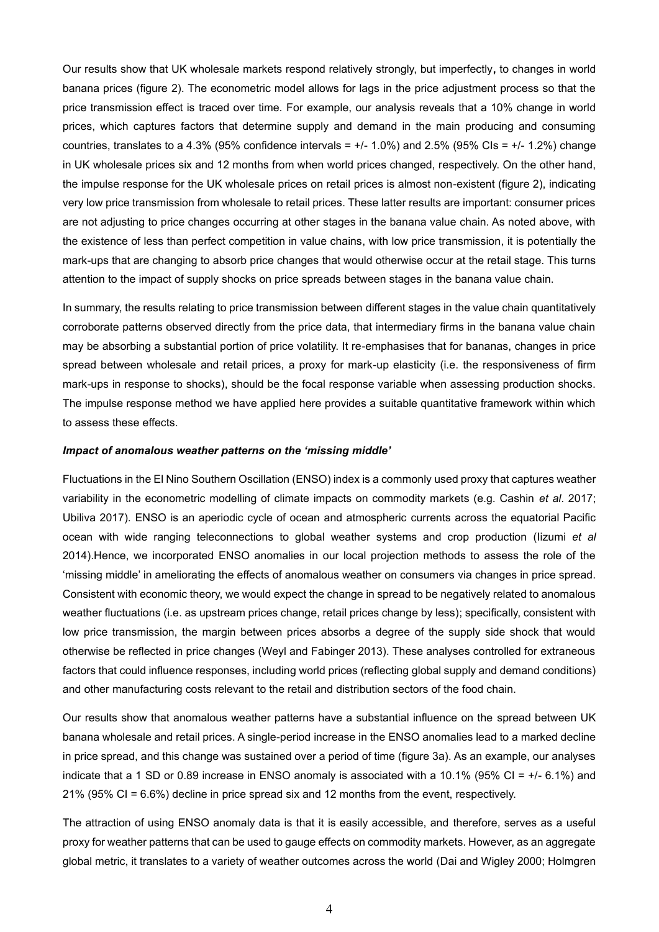Our results show that UK wholesale markets respond relatively strongly, but imperfectly**,** to changes in world banana prices (figure 2). The econometric model allows for lags in the price adjustment process so that the price transmission effect is traced over time. For example, our analysis reveals that a 10% change in world prices, which captures factors that determine supply and demand in the main producing and consuming countries, translates to a 4.3% (95% confidence intervals  $= +/-1.0%$ ) and 2.5% (95% CIs  $= +/-1.2%$ ) change in UK wholesale prices six and 12 months from when world prices changed, respectively. On the other hand, the impulse response for the UK wholesale prices on retail prices is almost non-existent (figure 2), indicating very low price transmission from wholesale to retail prices. These latter results are important: consumer prices are not adjusting to price changes occurring at other stages in the banana value chain. As noted above, with the existence of less than perfect competition in value chains, with low price transmission, it is potentially the mark-ups that are changing to absorb price changes that would otherwise occur at the retail stage. This turns attention to the impact of supply shocks on price spreads between stages in the banana value chain.

In summary, the results relating to price transmission between different stages in the value chain quantitatively corroborate patterns observed directly from the price data, that intermediary firms in the banana value chain may be absorbing a substantial portion of price volatility. It re-emphasises that for bananas, changes in price spread between wholesale and retail prices, a proxy for mark-up elasticity (i.e. the responsiveness of firm mark-ups in response to shocks), should be the focal response variable when assessing production shocks. The impulse response method we have applied here provides a suitable quantitative framework within which to assess these effects.

#### *Impact of anomalous weather patterns on the 'missing middle'*

Fluctuations in the El Nino Southern Oscillation (ENSO) index is a commonly used proxy that captures weather variability in the econometric modelling of climate impacts on commodity markets (e.g. Cashin *et al*. 2017; Ubiliva 2017). ENSO is an aperiodic cycle of ocean and atmospheric currents across the equatorial Pacific ocean with wide ranging teleconnections to global weather systems and crop production (Iizumi *et al* 2014).Hence, we incorporated ENSO anomalies in our local projection methods to assess the role of the 'missing middle' in ameliorating the effects of anomalous weather on consumers via changes in price spread. Consistent with economic theory, we would expect the change in spread to be negatively related to anomalous weather fluctuations (i.e. as upstream prices change, retail prices change by less); specifically, consistent with low price transmission, the margin between prices absorbs a degree of the supply side shock that would otherwise be reflected in price changes (Weyl and Fabinger 2013). These analyses controlled for extraneous factors that could influence responses, including world prices (reflecting global supply and demand conditions) and other manufacturing costs relevant to the retail and distribution sectors of the food chain.

Our results show that anomalous weather patterns have a substantial influence on the spread between UK banana wholesale and retail prices. A single-period increase in the ENSO anomalies lead to a marked decline in price spread, and this change was sustained over a period of time (figure 3a). As an example, our analyses indicate that a 1 SD or 0.89 increase in ENSO anomaly is associated with a 10.1% (95% CI = +/- 6.1%) and 21% (95% CI = 6.6%) decline in price spread six and 12 months from the event, respectively.

The attraction of using ENSO anomaly data is that it is easily accessible, and therefore, serves as a useful proxy for weather patterns that can be used to gauge effects on commodity markets. However, as an aggregate global metric, it translates to a variety of weather outcomes across the world (Dai and Wigley 2000; Holmgren

4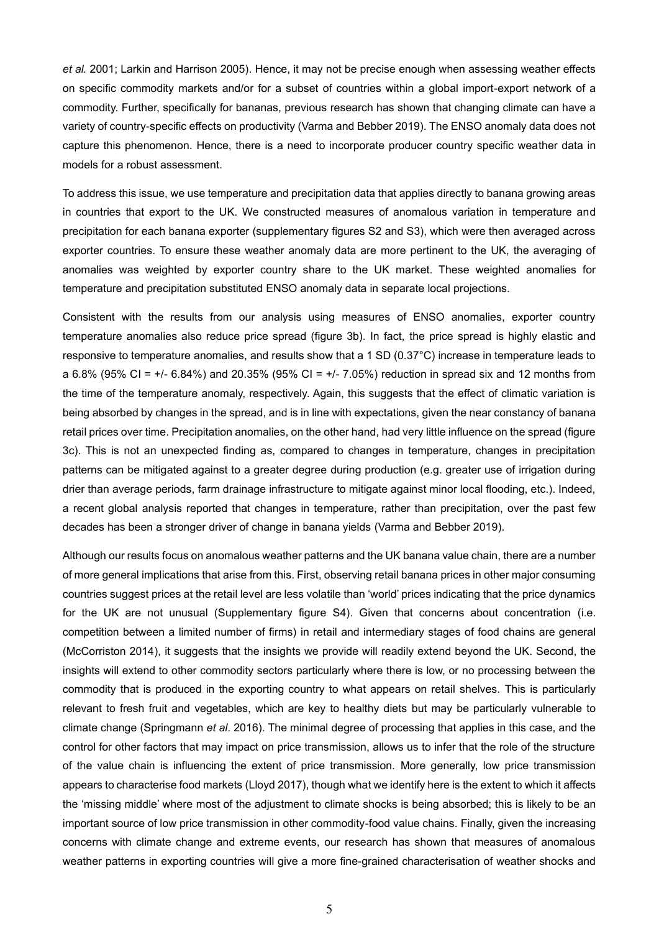*et al.* 2001; Larkin and Harrison 2005). Hence, it may not be precise enough when assessing weather effects on specific commodity markets and/or for a subset of countries within a global import-export network of a commodity. Further, specifically for bananas, previous research has shown that changing climate can have a variety of country-specific effects on productivity (Varma and Bebber 2019). The ENSO anomaly data does not capture this phenomenon. Hence, there is a need to incorporate producer country specific weather data in models for a robust assessment.

To address this issue, we use temperature and precipitation data that applies directly to banana growing areas in countries that export to the UK. We constructed measures of anomalous variation in temperature and precipitation for each banana exporter (supplementary figures S2 and S3), which were then averaged across exporter countries. To ensure these weather anomaly data are more pertinent to the UK, the averaging of anomalies was weighted by exporter country share to the UK market. These weighted anomalies for temperature and precipitation substituted ENSO anomaly data in separate local projections.

Consistent with the results from our analysis using measures of ENSO anomalies, exporter country temperature anomalies also reduce price spread (figure 3b). In fact, the price spread is highly elastic and responsive to temperature anomalies, and results show that a 1 SD (0.37°C) increase in temperature leads to a 6.8% (95% CI =  $+/-$  6.84%) and 20.35% (95% CI =  $+/-$  7.05%) reduction in spread six and 12 months from the time of the temperature anomaly, respectively. Again, this suggests that the effect of climatic variation is being absorbed by changes in the spread, and is in line with expectations, given the near constancy of banana retail prices over time. Precipitation anomalies, on the other hand, had very little influence on the spread (figure 3c). This is not an unexpected finding as, compared to changes in temperature, changes in precipitation patterns can be mitigated against to a greater degree during production (e.g. greater use of irrigation during drier than average periods, farm drainage infrastructure to mitigate against minor local flooding, etc.). Indeed, a recent global analysis reported that changes in temperature, rather than precipitation, over the past few decades has been a stronger driver of change in banana yields (Varma and Bebber 2019).

Although our results focus on anomalous weather patterns and the UK banana value chain, there are a number of more general implications that arise from this. First, observing retail banana prices in other major consuming countries suggest prices at the retail level are less volatile than 'world' prices indicating that the price dynamics for the UK are not unusual (Supplementary figure S4). Given that concerns about concentration (i.e. competition between a limited number of firms) in retail and intermediary stages of food chains are general (McCorriston 2014), it suggests that the insights we provide will readily extend beyond the UK. Second, the insights will extend to other commodity sectors particularly where there is low, or no processing between the commodity that is produced in the exporting country to what appears on retail shelves. This is particularly relevant to fresh fruit and vegetables, which are key to healthy diets but may be particularly vulnerable to climate change (Springmann *et al*. 2016). The minimal degree of processing that applies in this case, and the control for other factors that may impact on price transmission, allows us to infer that the role of the structure of the value chain is influencing the extent of price transmission. More generally, low price transmission appears to characterise food markets (Lloyd 2017), though what we identify here is the extent to which it affects the 'missing middle' where most of the adjustment to climate shocks is being absorbed; this is likely to be an important source of low price transmission in other commodity-food value chains. Finally, given the increasing concerns with climate change and extreme events, our research has shown that measures of anomalous weather patterns in exporting countries will give a more fine-grained characterisation of weather shocks and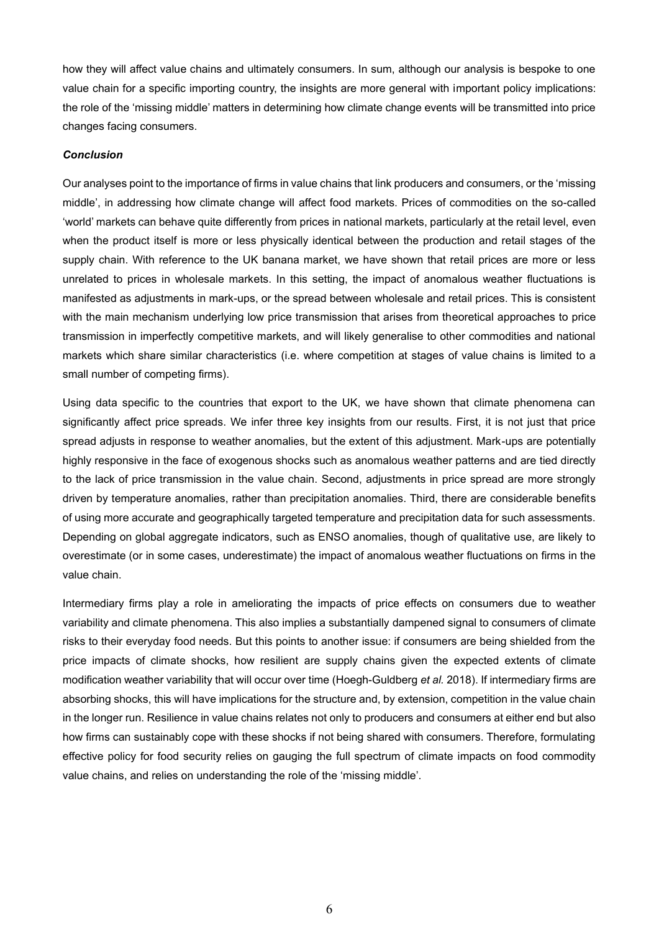how they will affect value chains and ultimately consumers. In sum, although our analysis is bespoke to one value chain for a specific importing country, the insights are more general with important policy implications: the role of the 'missing middle' matters in determining how climate change events will be transmitted into price changes facing consumers.

#### *Conclusion*

Our analyses point to the importance of firms in value chains that link producers and consumers, or the 'missing middle', in addressing how climate change will affect food markets. Prices of commodities on the so-called 'world' markets can behave quite differently from prices in national markets, particularly at the retail level, even when the product itself is more or less physically identical between the production and retail stages of the supply chain. With reference to the UK banana market, we have shown that retail prices are more or less unrelated to prices in wholesale markets. In this setting, the impact of anomalous weather fluctuations is manifested as adjustments in mark-ups, or the spread between wholesale and retail prices. This is consistent with the main mechanism underlying low price transmission that arises from theoretical approaches to price transmission in imperfectly competitive markets, and will likely generalise to other commodities and national markets which share similar characteristics (i.e. where competition at stages of value chains is limited to a small number of competing firms).

Using data specific to the countries that export to the UK, we have shown that climate phenomena can significantly affect price spreads. We infer three key insights from our results. First, it is not just that price spread adjusts in response to weather anomalies, but the extent of this adjustment. Mark-ups are potentially highly responsive in the face of exogenous shocks such as anomalous weather patterns and are tied directly to the lack of price transmission in the value chain. Second, adjustments in price spread are more strongly driven by temperature anomalies, rather than precipitation anomalies. Third, there are considerable benefits of using more accurate and geographically targeted temperature and precipitation data for such assessments. Depending on global aggregate indicators, such as ENSO anomalies, though of qualitative use, are likely to overestimate (or in some cases, underestimate) the impact of anomalous weather fluctuations on firms in the value chain.

Intermediary firms play a role in ameliorating the impacts of price effects on consumers due to weather variability and climate phenomena. This also implies a substantially dampened signal to consumers of climate risks to their everyday food needs. But this points to another issue: if consumers are being shielded from the price impacts of climate shocks, how resilient are supply chains given the expected extents of climate modification weather variability that will occur over time (Hoegh-Guldberg *et al.* 2018). If intermediary firms are absorbing shocks, this will have implications for the structure and, by extension, competition in the value chain in the longer run. Resilience in value chains relates not only to producers and consumers at either end but also how firms can sustainably cope with these shocks if not being shared with consumers. Therefore, formulating effective policy for food security relies on gauging the full spectrum of climate impacts on food commodity value chains, and relies on understanding the role of the 'missing middle'.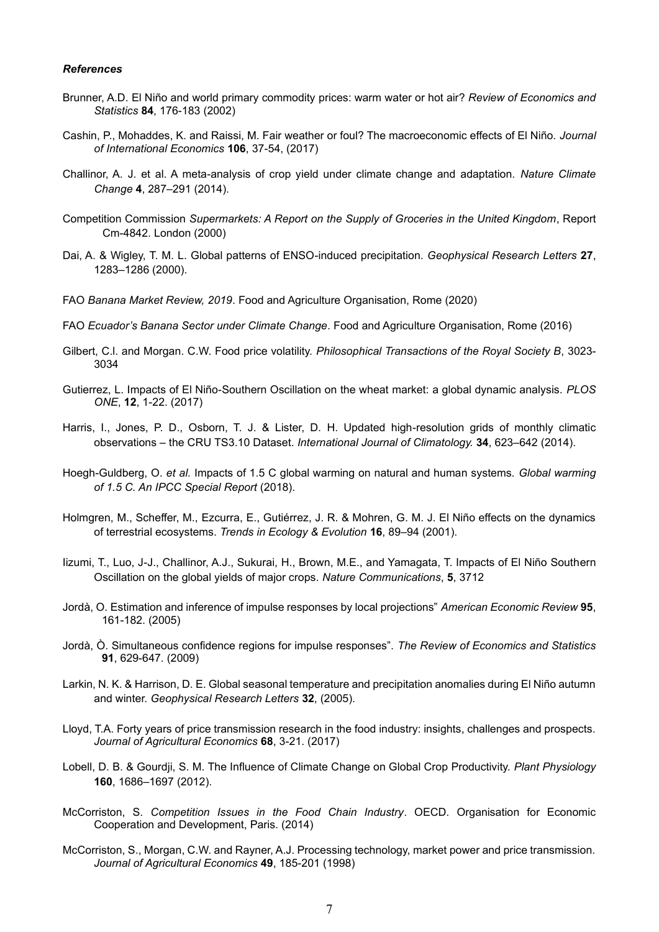#### *References*

- Brunner, A.D. El Niño and world primary commodity prices: warm water or hot air? *Review of Economics and Statistics* **84**, 176-183 (2002)
- Cashin, P., Mohaddes, K. and Raissi, M. Fair weather or foul? The macroeconomic effects of El Niño. *Journal of International Economics* **106**, 37-54, (2017)
- Challinor, A. J. et al. A meta-analysis of crop yield under climate change and adaptation. *Nature Climate Change* **4**, 287–291 (2014).
- Competition Commission *Supermarkets: A Report on the Supply of Groceries in the United Kingdom*, Report Cm-4842. London (2000)
- Dai, A. & Wigley, T. M. L. Global patterns of ENSO-induced precipitation. *Geophysical Research Letters* **27**, 1283–1286 (2000).
- FAO *Banana Market Review, 2019*. Food and Agriculture Organisation, Rome (2020)
- FAO *Ecuador's Banana Sector under Climate Change*. Food and Agriculture Organisation, Rome (2016)
- Gilbert, C.l. and Morgan. C.W. Food price volatility. *Philosophical Transactions of the Royal Society B*, 3023- 3034
- Gutierrez, L. Impacts of El Niño-Southern Oscillation on the wheat market: a global dynamic analysis. *PLOS ONE*, **12**, 1-22. (2017)
- Harris, I., Jones, P. D., Osborn, T. J. & Lister, D. H. Updated high-resolution grids of monthly climatic observations – the CRU TS3.10 Dataset. *International Journal of Climatology.* **34**, 623–642 (2014).
- Hoegh-Guldberg, O. *et al.* Impacts of 1.5 C global warming on natural and human systems. *Global warming of 1.5 C. An IPCC Special Report* (2018).
- Holmgren, M., Scheffer, M., Ezcurra, E., Gutiérrez, J. R. & Mohren, G. M. J. El Niño effects on the dynamics of terrestrial ecosystems. *Trends in Ecology & Evolution* **16**, 89–94 (2001).
- Iizumi, T., Luo, J-J., Challinor, A.J., Sukurai, H., Brown, M.E., and Yamagata, T. Impacts of El Niño Southern Oscillation on the global yields of major crops. *Nature Communications*, **5**, 3712
- Jordà, O. Estimation and inference of impulse responses by local projections" *American Economic Review* **95**, 161-182. (2005)
- Jordà, Ò. Simultaneous confidence regions for impulse responses". *The Review of Economics and Statistics* **91**, 629-647. (2009)
- Larkin, N. K. & Harrison, D. E. Global seasonal temperature and precipitation anomalies during El Niño autumn and winter. *Geophysical Research Letters* **32**, (2005).
- Lloyd, T.A. Forty years of price transmission research in the food industry: insights, challenges and prospects. *Journal of Agricultural Economics* **68**, 3-21. (2017)
- Lobell, D. B. & Gourdji, S. M. The Influence of Climate Change on Global Crop Productivity. *Plant Physiology* **160**, 1686–1697 (2012).
- McCorriston, S. *Competition Issues in the Food Chain Industry*. OECD. Organisation for Economic Cooperation and Development, Paris. (2014)
- McCorriston, S., Morgan, C.W. and Rayner, A.J. Processing technology, market power and price transmission. *Journal of Agricultural Economics* **49**, 185-201 (1998)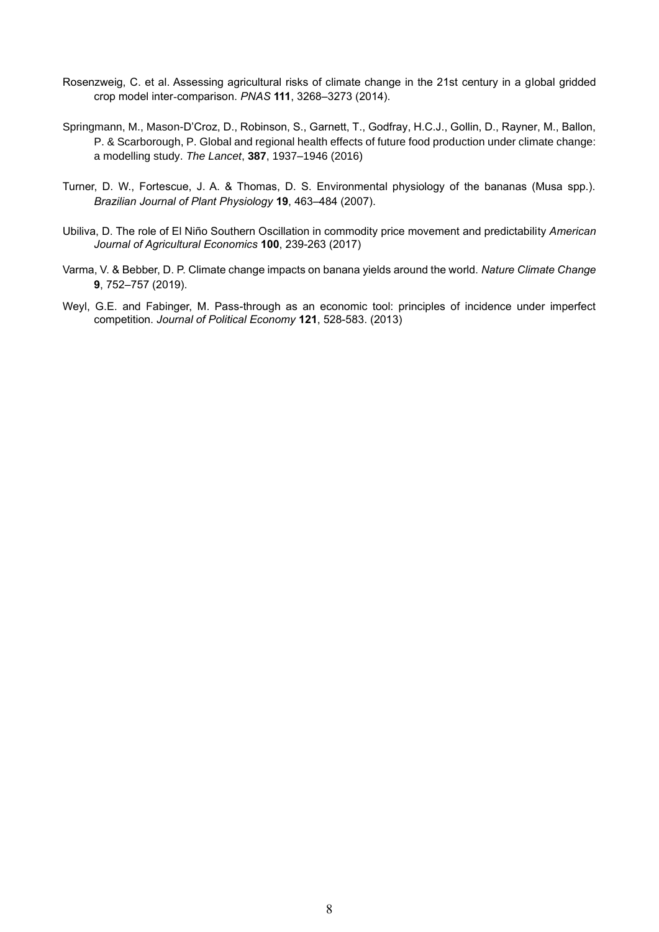- Rosenzweig, C. et al. Assessing agricultural risks of climate change in the 21st century in a global gridded crop model inter-comparison. *PNAS* **111**, 3268–3273 (2014).
- Springmann, M., Mason-D'Croz, D., Robinson, S., Garnett, T., Godfray, H.C.J., Gollin, D., Rayner, M., Ballon, P. & Scarborough, P. Global and regional health effects of future food production under climate change: a modelling study. *The Lancet*, **387**, 1937–1946 (2016)
- Turner, D. W., Fortescue, J. A. & Thomas, D. S. Environmental physiology of the bananas (Musa spp.). *Brazilian Journal of Plant Physiology* **19**, 463–484 (2007).
- Ubiliva, D. The role of El Niño Southern Oscillation in commodity price movement and predictability *American Journal of Agricultural Economics* **100**, 239-263 (2017)
- Varma, V. & Bebber, D. P. Climate change impacts on banana yields around the world. *Nature Climate Change* **9**, 752–757 (2019).
- Weyl, G.E. and Fabinger, M. Pass-through as an economic tool: principles of incidence under imperfect competition. *Journal of Political Economy* **121**, 528-583. (2013)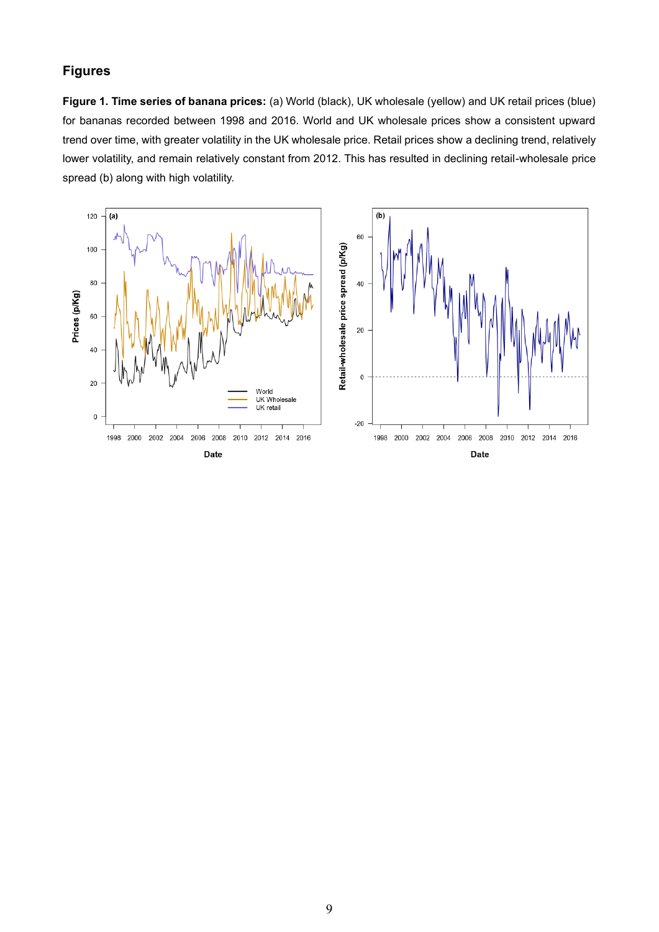## **Figures**

**Figure 1. Time series of banana prices:** (a) World (black), UK wholesale (yellow) and UK retail prices (blue) for bananas recorded between 1998 and 2016. World and UK wholesale prices show a consistent upward trend over time, with greater volatility in the UK wholesale price. Retail prices show a declining trend, relatively lower volatility, and remain relatively constant from 2012. This has resulted in declining retail-wholesale price spread (b) along with high volatility.

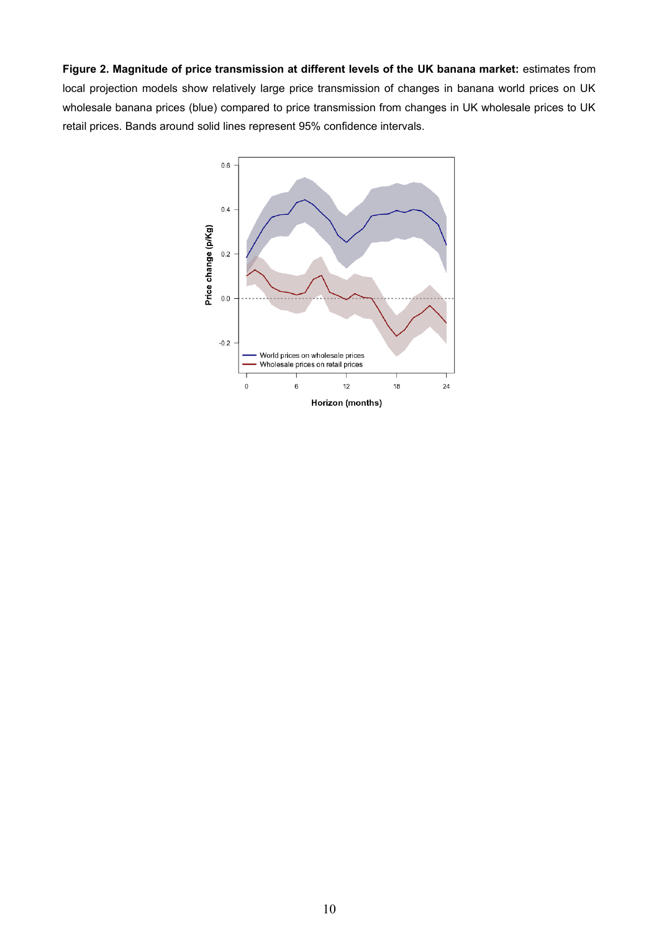**Figure 2. Magnitude of price transmission at different levels of the UK banana market:** estimates from local projection models show relatively large price transmission of changes in banana world prices on UK wholesale banana prices (blue) compared to price transmission from changes in UK wholesale prices to UK retail prices. Bands around solid lines represent 95% confidence intervals.

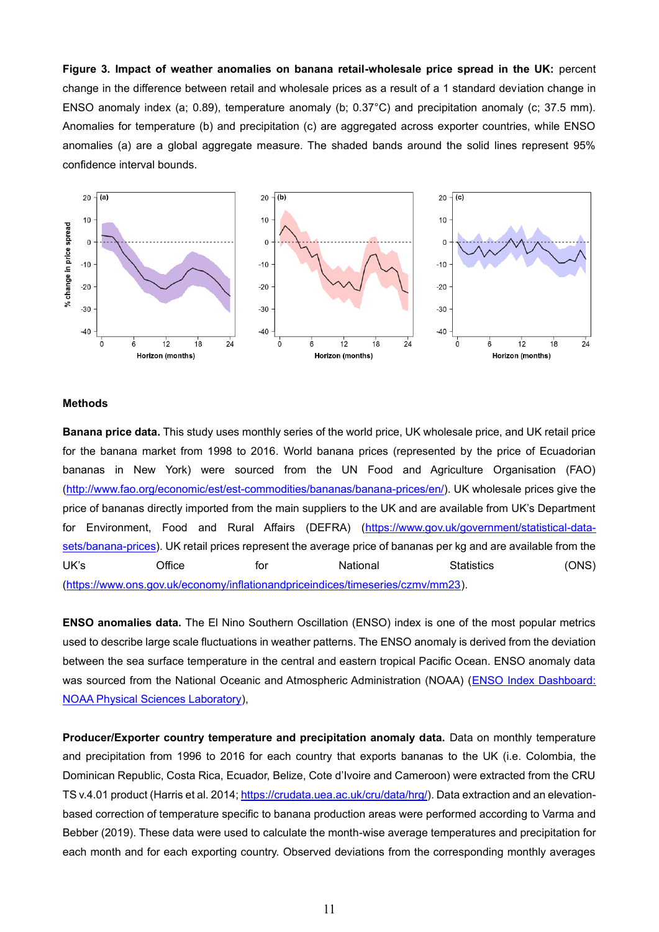**Figure 3. Impact of weather anomalies on banana retail-wholesale price spread in the UK:** percent change in the difference between retail and wholesale prices as a result of a 1 standard deviation change in ENSO anomaly index (a; 0.89), temperature anomaly (b; 0.37°C) and precipitation anomaly (c; 37.5 mm). Anomalies for temperature (b) and precipitation (c) are aggregated across exporter countries, while ENSO anomalies (a) are a global aggregate measure. The shaded bands around the solid lines represent 95% confidence interval bounds.



#### **Methods**

**Banana price data.** This study uses monthly series of the world price, UK wholesale price, and UK retail price for the banana market from 1998 to 2016. World banana prices (represented by the price of Ecuadorian bananas in New York) were sourced from the UN Food and Agriculture Organisation (FAO) [\(http://www.fao.org/economic/est/est-commodities/bananas/banana-prices/en/\)](http://www.fao.org/economic/est/est-commodities/bananas/banana-prices/en/). UK wholesale prices give the price of bananas directly imported from the main suppliers to the UK and are available from UK's Department for Environment, Food and Rural Affairs (DEFRA) [\(https://www.gov.uk/government/statistical-data](https://www.gov.uk/government/statistical-data-sets/banana-prices)[sets/banana-prices\)](https://www.gov.uk/government/statistical-data-sets/banana-prices). UK retail prices represent the average price of bananas per kg and are available from the UK's Office for National Statistics (ONS) [\(https://www.ons.gov.uk/economy/inflationandpriceindices/timeseries/czmv/mm23\)](https://www.ons.gov.uk/economy/inflationandpriceindices/timeseries/czmv/mm23).

**ENSO anomalies data.** The El Nino Southern Oscillation (ENSO) index is one of the most popular metrics used to describe large scale fluctuations in weather patterns. The ENSO anomaly is derived from the deviation between the sea surface temperature in the central and eastern tropical Pacific Ocean. ENSO anomaly data was sourced from the National Oceanic and Atmospheric Administration (NOAA) (ENSO Index Dashboard: [NOAA Physical Sciences Laboratory\)](https://psl.noaa.gov/enso/dashboard.html),

**Producer/Exporter country temperature and precipitation anomaly data.** Data on monthly temperature and precipitation from 1996 to 2016 for each country that exports bananas to the UK (i.e. Colombia, the Dominican Republic, Costa Rica, Ecuador, Belize, Cote d'Ivoire and Cameroon) were extracted from the CRU TS v.4.01 product (Harris et al. 2014; [https://crudata.uea.ac.uk/cru/data/hrg/\)](https://crudata.uea.ac.uk/cru/data/hrg/). Data extraction and an elevationbased correction of temperature specific to banana production areas were performed according to Varma and Bebber (2019). These data were used to calculate the month-wise average temperatures and precipitation for each month and for each exporting country. Observed deviations from the corresponding monthly averages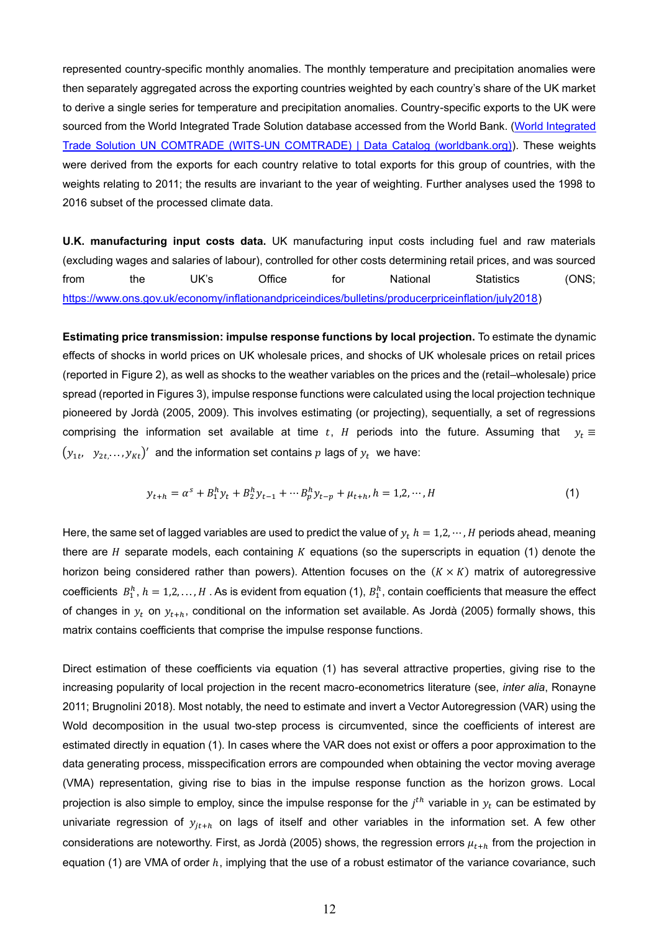represented country-specific monthly anomalies. The monthly temperature and precipitation anomalies were then separately aggregated across the exporting countries weighted by each country's share of the UK market to derive a single series for temperature and precipitation anomalies. Country-specific exports to the UK were sourced from the World Integrated Trade Solution database accessed from the World Bank. [\(World Integrated](https://datacatalog.worldbank.org/dataset/world-integrated-trade-solution-un-comtrade)  [Trade Solution UN COMTRADE \(WITS-UN COMTRADE\) | Data Catalog \(worldbank.org\)\)](https://datacatalog.worldbank.org/dataset/world-integrated-trade-solution-un-comtrade). These weights were derived from the exports for each country relative to total exports for this group of countries, with the weights relating to 2011; the results are invariant to the year of weighting. Further analyses used the 1998 to 2016 subset of the processed climate data.

**U.K. manufacturing input costs data.** UK manufacturing input costs including fuel and raw materials (excluding wages and salaries of labour), controlled for other costs determining retail prices, and was sourced from the UK's Office for National Statistics (ONS; [https://www.ons.gov.uk/economy/inflationandpriceindices/bulletins/producerpriceinflation/july2018\)](https://www.ons.gov.uk/economy/inflationandpriceindices/bulletins/producerpriceinflation/july2018)

**Estimating price transmission: impulse response functions by local projection.** To estimate the dynamic effects of shocks in world prices on UK wholesale prices, and shocks of UK wholesale prices on retail prices (reported in Figure 2), as well as shocks to the weather variables on the prices and the (retail–wholesale) price spread (reported in Figures 3), impulse response functions were calculated using the local projection technique pioneered by Jordà (2005, 2009). This involves estimating (or projecting), sequentially, a set of regressions comprising the information set available at time t, H periods into the future. Assuming that  $y_t \equiv$  $(y_{1t}, \ y_{2t, \cdots}, y_{Kt})'$  and the information set contains  $p$  lags of  $y_t$  we have:

$$
y_{t+h} = \alpha^s + B_1^h y_t + B_2^h y_{t-1} + \cdots + B_p^h y_{t-p} + \mu_{t+h}, h = 1, 2, \cdots, H
$$
\n<sup>(1)</sup>

Here, the same set of lagged variables are used to predict the value of  $y_t$   $h = 1,2,\dots,H$  periods ahead, meaning there are  $H$  separate models, each containing  $K$  equations (so the superscripts in equation (1) denote the horizon being considered rather than powers). Attention focuses on the  $(K \times K)$  matrix of autoregressive coefficients  $B_1^h$ ,  $h = 1,2,...,H$  . As is evident from equation (1),  $B_1^h$ , contain coefficients that measure the effect of changes in  $y_t$  on  $y_{t+h}$ , conditional on the information set available. As Jordà (2005) formally shows, this matrix contains coefficients that comprise the impulse response functions.

Direct estimation of these coefficients via equation (1) has several attractive properties, giving rise to the increasing popularity of local projection in the recent macro-econometrics literature (see, *inter alia*, Ronayne 2011; Brugnolini 2018). Most notably, the need to estimate and invert a Vector Autoregression (VAR) using the Wold decomposition in the usual two-step process is circumvented, since the coefficients of interest are estimated directly in equation (1). In cases where the VAR does not exist or offers a poor approximation to the data generating process, misspecification errors are compounded when obtaining the vector moving average (VMA) representation, giving rise to bias in the impulse response function as the horizon grows. Local projection is also simple to employ, since the impulse response for the  $j^{th}$  variable in  $y_t$  can be estimated by univariate regression of  $y_{it+h}$  on lags of itself and other variables in the information set. A few other considerations are noteworthy. First, as Jordà (2005) shows, the regression errors  $\mu_{t+h}$  from the projection in equation (1) are VMA of order  $h$ , implying that the use of a robust estimator of the variance covariance, such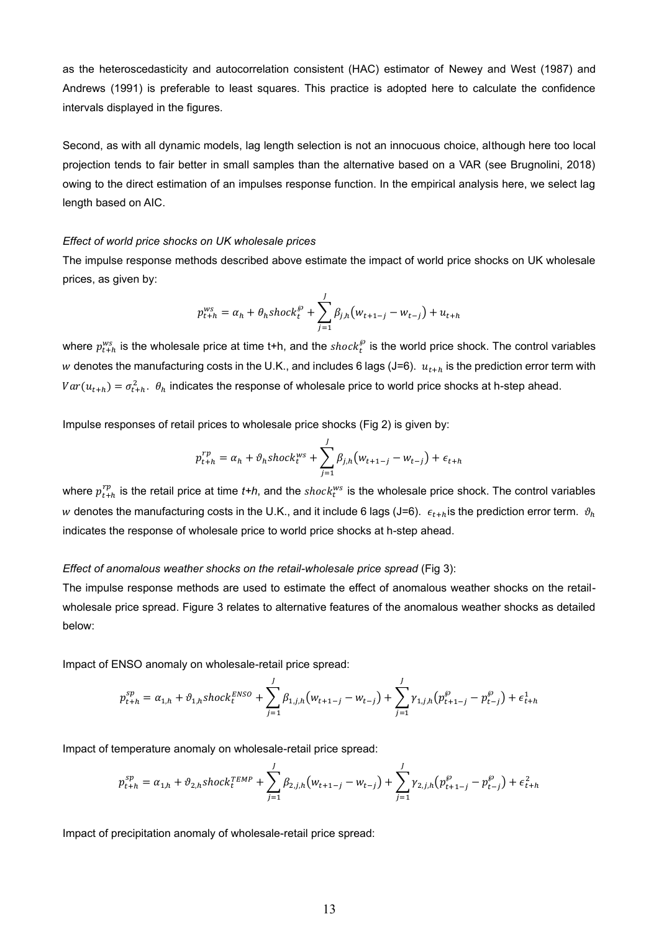as the heteroscedasticity and autocorrelation consistent (HAC) estimator of Newey and West (1987) and Andrews (1991) is preferable to least squares. This practice is adopted here to calculate the confidence intervals displayed in the figures.

Second, as with all dynamic models, lag length selection is not an innocuous choice, although here too local projection tends to fair better in small samples than the alternative based on a VAR (see Brugnolini, 2018) owing to the direct estimation of an impulses response function. In the empirical analysis here, we select lag length based on AIC.

#### *Effect of world price shocks on UK wholesale prices*

The impulse response methods described above estimate the impact of world price shocks on UK wholesale prices, as given by:

$$
p_{t+h}^{ws} = \alpha_h + \theta_h \, \text{shock}_t^{\wp} + \sum_{j=1}^J \beta_{j,h} (w_{t+1-j} - w_{t-j}) + u_{t+h}
$$

where  $p_{t+h}^{ws}$  is the wholesale price at time t+h, and the  $shock_t^{\wp}$  is the world price shock. The control variables w denotes the manufacturing costs in the U.K., and includes 6 lags (J=6).  $u_{t+h}$  is the prediction error term with  $Var(u_{t+h}) = \sigma_{t+h}^2$ .  $\theta_h$  indicates the response of wholesale price to world price shocks at h-step ahead.

Impulse responses of retail prices to wholesale price shocks (Fig 2) is given by:

$$
p_{t+h}^{rp} = \alpha_h + \vartheta_h \, \text{shock}_{t}^{ws} + \sum_{j=1}^{J} \beta_{j,h} (w_{t+1-j} - w_{t-j}) + \epsilon_{t+h}
$$

where  $p_{t+h}^{rp}$  is the retail price at time  $t\texttt{+}h$ , and the  $shock_t^{ws}$  is the wholesale price shock. The control variables w denotes the manufacturing costs in the U.K., and it include 6 lags (J=6).  $\epsilon_{t+h}$  is the prediction error term.  $\vartheta_h$ indicates the response of wholesale price to world price shocks at h-step ahead.

#### *Effect of anomalous weather shocks on the retail-wholesale price spread* (Fig 3):

The impulse response methods are used to estimate the effect of anomalous weather shocks on the retailwholesale price spread. Figure 3 relates to alternative features of the anomalous weather shocks as detailed below:

Impact of ENSO anomaly on wholesale-retail price spread:

$$
p_{t+h}^{sp} = \alpha_{1,h} + \vartheta_{1,h} \operatorname{shock}_{t}^{\operatorname{ENSO}} + \sum_{j=1}^{J} \beta_{1,j,h} (w_{t+1-j} - w_{t-j}) + \sum_{j=1}^{J} \gamma_{1,j,h} (p_{t+1-j}^{\varnothing} - p_{t-j}^{\varnothing}) + \epsilon_{t+h}^{1}
$$

Impact of temperature anomaly on wholesale-retail price spread:

$$
p_{t+h}^{sp} = \alpha_{1,h} + \vartheta_{2,h} \, \text{shock}_{t}^{\text{TEMP}} + \sum_{j=1}^{J} \beta_{2,j,h} \big( w_{t+1-j} - w_{t-j} \big) + \sum_{j=1}^{J} \gamma_{2,j,h} \big( p_{t+1-j}^{\beta} - p_{t-j}^{\beta} \big) + \epsilon_{t+h}^{2}
$$

Impact of precipitation anomaly of wholesale-retail price spread: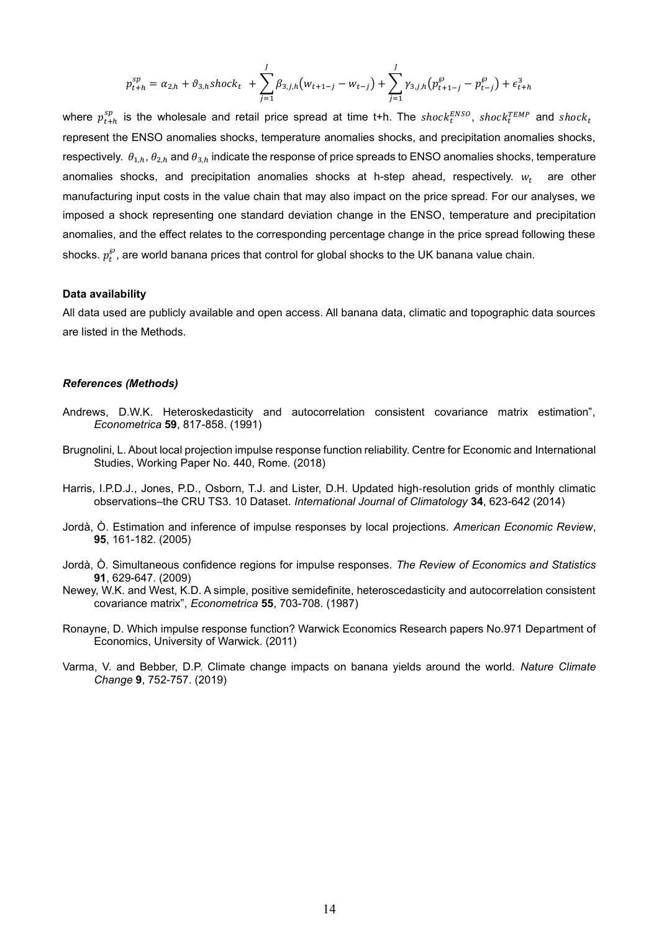$$
p_{t+h}^{sp} = \alpha_{2,h} + \vartheta_{3,h} shock_t + \sum_{j=1}^{J} \beta_{3,j,h} (w_{t+1-j} - w_{t-j}) + \sum_{j=1}^{J} \gamma_{3,j,h} (p_{t+1-j}^{\wp} - p_{t-j}^{\wp}) + \epsilon_{t+h}^3
$$

where  $p^{sp}_{t+h}$  is the wholesale and retail price spread at time t+h. The  $shock^{ENSO}_t, \;shock^{TEMP}_t$  and  $shock_t$ represent the ENSO anomalies shocks, temperature anomalies shocks, and precipitation anomalies shocks, respectively.  $\theta_{1,h}$ ,  $\theta_{2,h}$  and  $\theta_{3,h}$  indicate the response of price spreads to ENSO anomalies shocks, temperature anomalies shocks, and precipitation anomalies shocks at h-step ahead, respectively.  $w_t$  are other manufacturing input costs in the value chain that may also impact on the price spread. For our analyses, we imposed a shock representing one standard deviation change in the ENSO, temperature and precipitation anomalies, and the effect relates to the corresponding percentage change in the price spread following these shocks.  $p_t^{\wp}$ , are world banana prices that control for global shocks to the UK banana value chain.

#### **Data availability**

All data used are publicly available and open access. All banana data, climatic and topographic data sources are listed in the Methods.

#### *References (Methods)*

- Andrews, D.W.K. Heteroskedasticity and autocorrelation consistent covariance matrix estimation", *Econometrica* **59**, 817-858. (1991)
- Brugnolini, L. About local projection impulse response function reliability. Centre for Economic and International Studies, Working Paper No. 440, Rome. (2018)
- Harris, I.P.D.J., Jones, P.D., Osborn, T.J. and Lister, D.H. Updated high‐resolution grids of monthly climatic observations–the CRU TS3. 10 Dataset. *International Journal of Climatology* **34**, 623-642 (2014)
- Jordà, Ò. Estimation and inference of impulse responses by local projections. *American Economic Review*, **95**, 161-182. (2005)
- Jordà, Ò. Simultaneous confidence regions for impulse responses. *The Review of Economics and Statistics* **91**, 629-647. (2009)
- Newey, W.K. and West, K.D. A simple, positive semidefinite, heteroscedasticity and autocorrelation consistent covariance matrix", *Econometrica* **55**, 703-708. (1987)
- Ronayne, D. Which impulse response function? Warwick Economics Research papers No.971 Department of Economics, University of Warwick. (2011)
- Varma, V. and Bebber, D.P. Climate change impacts on banana yields around the world. *Nature Climate Change* **9**, 752-757. (2019)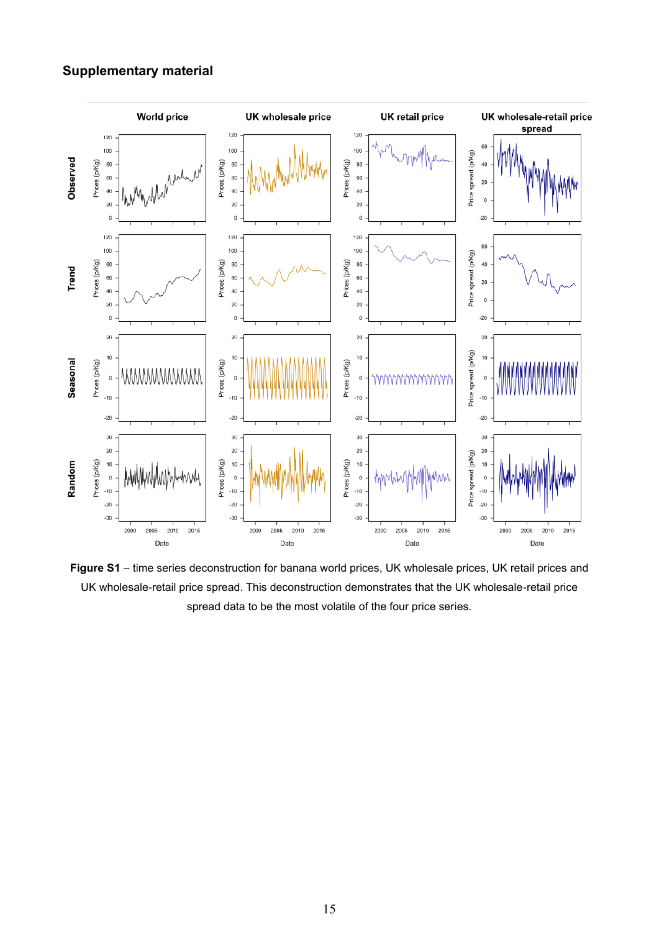## **Supplementary material**



**Figure S1** – time series deconstruction for banana world prices, UK wholesale prices, UK retail prices and UK wholesale-retail price spread. This deconstruction demonstrates that the UK wholesale-retail price spread data to be the most volatile of the four price series.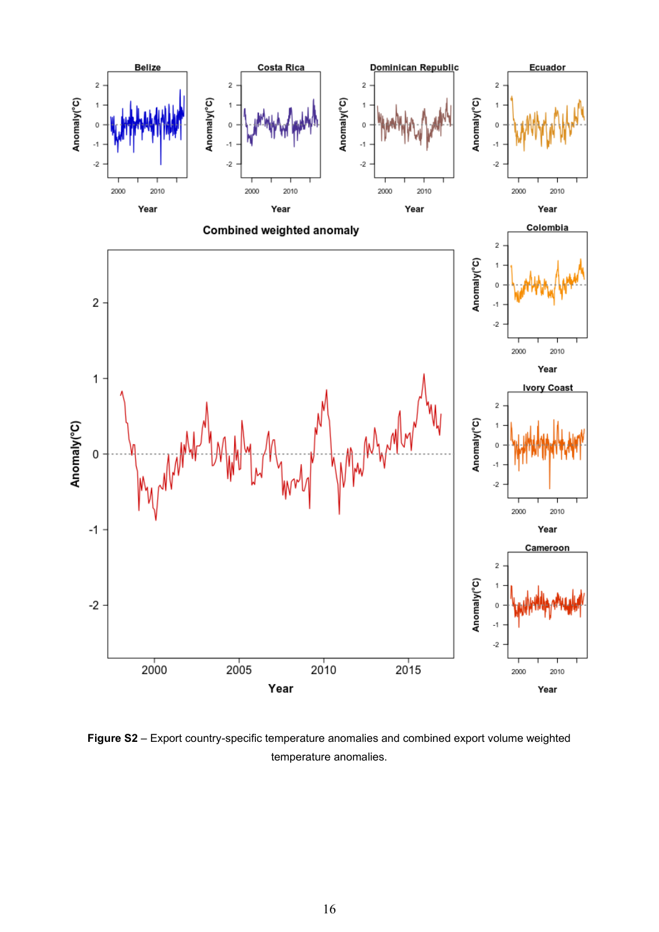

**Figure S2** – Export country-specific temperature anomalies and combined export volume weighted temperature anomalies.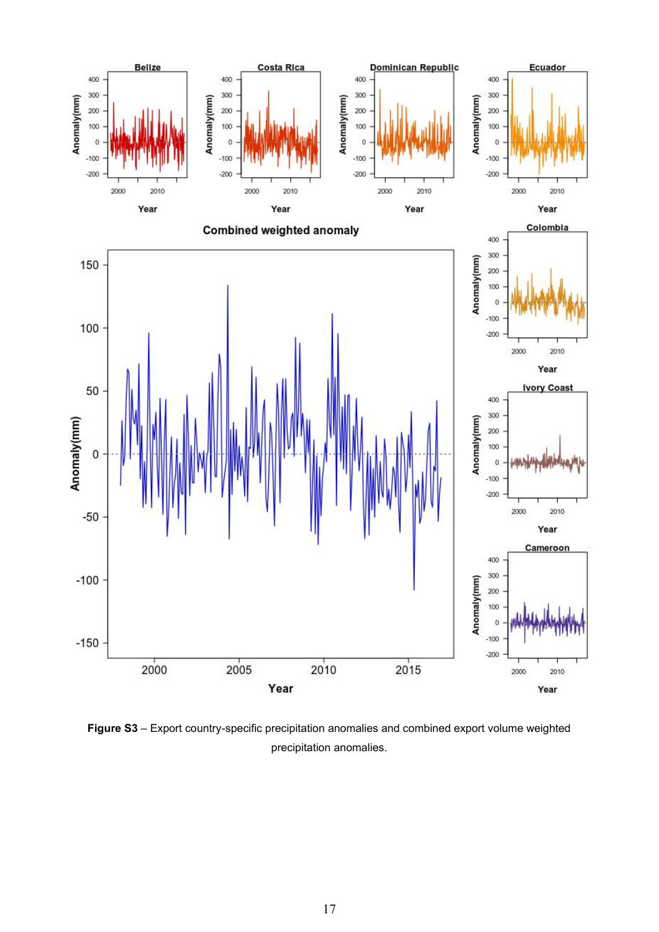

**Figure S3** – Export country-specific precipitation anomalies and combined export volume weighted precipitation anomalies.